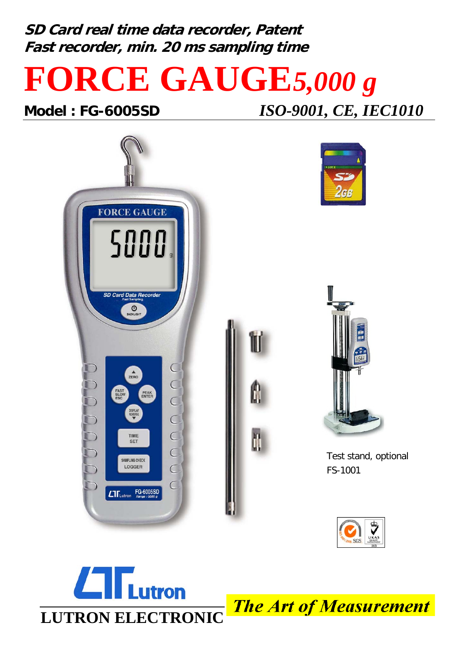**SD Card real time data recorder, Patent Fast recorder, min. 20 ms sampling time**

## **FORCE GAUGE***5,000 g*

**Model : FG-6005SD** *ISO-9001, CE, IEC1010*







II

Test stand, optional FS-1001





The Art of Measurement